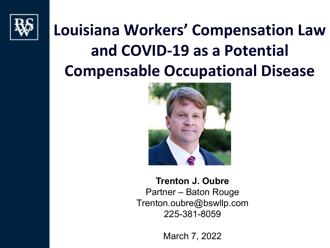

### **Louisiana Workers' Compensation Law and COVID-19 as a Potential Compensable Occupational Disease**



**Trenton J. Oubre** Partner – Baton Rouge Trenton.oubre@bswllp.com 225-381-8059

March 7, 2022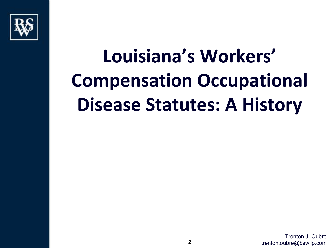

# **Louisiana's Workers' Compensation Occupational Disease Statutes: A History**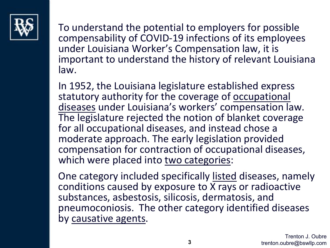

To understand the potential to employers for possible compensability of COVID-19 infections of its employees under Louisiana Worker's Compensation law, it is important to understand the history of relevant Louisiana law.

In 1952, the Louisiana legislature established express statutory authority for the coverage of occupational diseases under Louisiana's workers' compensation law. The legislature rejected the notion of blanket coverage for all occupational diseases, and instead chose a moderate approach. The early legislation provided compensation for contraction of occupational diseases, which were placed into two categories:

One category included specifically listed diseases, namely conditions caused by exposure to  $\overline{X}$  rays or radioactive substances, asbestosis, silicosis, dermatosis, and pneumoconiosis. The other category identified diseases by causative agents.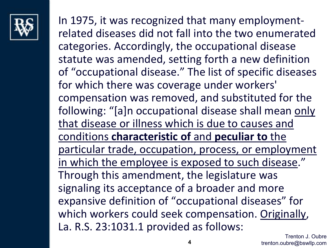

In 1975, it was recognized that many employmentrelated diseases did not fall into the two enumerated categories. Accordingly, the occupational disease statute was amended, setting forth a new definition of "occupational disease." The list of specific diseases for which there was coverage under workers' compensation was removed, and substituted for the following: "[a]n occupational disease shall mean only that disease or illness which is due to causes and conditions **characteristic of** and **peculiar to** the particular trade, occupation, process, or employment in which the employee is exposed to such disease." Through this amendment, the legislature was signaling its acceptance of a broader and more expansive definition of "occupational diseases" for which workers could seek compensation. Originally, La. R.S. 23:1031.1 provided as follows: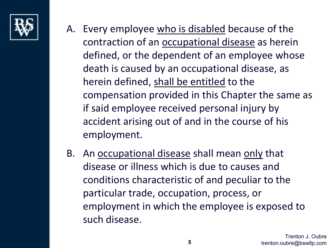

- A. Every employee who is disabled because of the contraction of an occupational disease as herein defined, or the dependent of an employee whose death is caused by an occupational disease, as herein defined, shall be entitled to the compensation provided in this Chapter the same as if said employee received personal injury by accident arising out of and in the course of his employment.
- B. An occupational disease shall mean only that disease or illness which is due to causes and conditions characteristic of and peculiar to the particular trade, occupation, process, or employment in which the employee is exposed to such disease.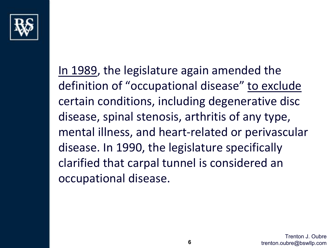

In 1989, the legislature again amended the definition of "occupational disease" to exclude certain conditions, including degenerative disc disease, spinal stenosis, arthritis of any type, mental illness, and heart-related or perivascular disease. In 1990, the legislature specifically clarified that carpal tunnel is considered an occupational disease.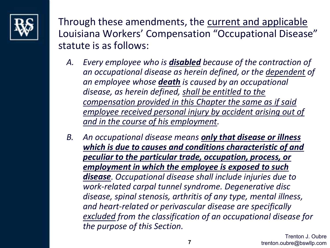

Through these amendments, the current and applicable Louisiana Workers' Compensation "Occupational Disease" statute is as follows:

- *A. Every employee who is disabled because of the contraction of an occupational disease as herein defined, or the dependent of an employee whose death is caused by an occupational disease, as herein defined, shall be entitled to the compensation provided in this Chapter the same as if said employee received personal injury by accident arising out of and in the course of his employment.*
- *B. An occupational disease means only that disease or illness which is due to causes and conditions characteristic of and peculiar to the particular trade, occupation, process, or employment in which the employee is exposed to such disease. Occupational disease shall include injuries due to work-related carpal tunnel syndrome. Degenerative disc disease, spinal stenosis, arthritis of any type, mental illness, and heart-related or perivascular disease are specifically excluded from the classification of an occupational disease for the purpose of this Section.*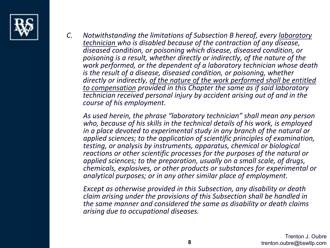

*C. Notwithstanding the limitations of Subsection B hereof, every laboratory technician who is disabled because of the contraction of any disease, diseased condition, or poisoning which disease, diseased condition, or poisoning is a result, whether directly or indirectly, of the nature of the work performed, or the dependent of a laboratory technician whose death is the result of a disease, diseased condition, or poisoning, whether directly or indirectly, of the nature of the work performed shall be entitled to compensation provided in this Chapter the same as if said laboratory technician received personal injury by accident arising out of and in the course of his employment.*

*As used herein, the phrase "laboratory technician" shall mean any person who, because of his skills in the technical details of his work, is employed in a place devoted to experimental study in any branch of the natural or applied sciences; to the application of scientific principles of examination, testing, or analysis by instruments, apparatus, chemical or biological reactions or other scientific processes for the purposes of the natural or applied sciences; to the preparation, usually on a small scale, of drugs, chemicals, explosives, or other products or substances for experimental or analytical purposes; or in any other similar place of employment.*

*Except as otherwise provided in this Subsection, any disability or death claim arising under the provisions of this Subsection shall be handled in the same manner and considered the same as disability or death claims arising due to occupational diseases.*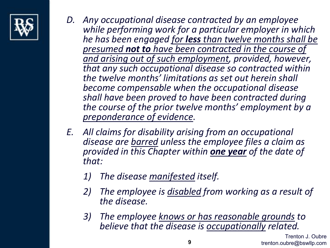

- *D. Any occupational disease contracted by an employee while performing work for a particular employer in which he has been engaged for less than twelve months shall be presumed not to have been contracted in the course of and arising out of such employment, provided, however, that any such occupational disease so contracted within the twelve months' limitations as set out herein shall become compensable when the occupational disease shall have been proved to have been contracted during the course of the prior twelve months' employment by a preponderance of evidence.*
- *E. All claims for disability arising from an occupational disease are barred unless the employee files a claim as provided in this Chapter within one year of the date of that:*
	- *1) The disease manifested itself.*
	- *2) The employee is disabled from working as a result of the disease.*
	- *3) The employee knows or has reasonable grounds to believe that the disease is occupationally related.*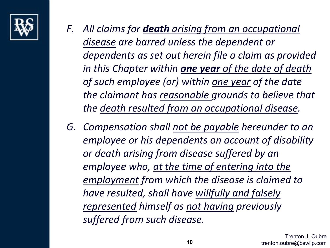

- *F. All claims for death arising from an occupational disease are barred unless the dependent or dependents as set out herein file a claim as provided in this Chapter within one year of the date of death of such employee (or) within one year of the date the claimant has reasonable grounds to believe that the death resulted from an occupational disease.*
- *G. Compensation shall not be payable hereunder to an employee or his dependents on account of disability or death arising from disease suffered by an employee who, at the time of entering into the employment from which the disease is claimed to have resulted, shall have willfully and falsely represented himself as not having previously suffered from such disease.*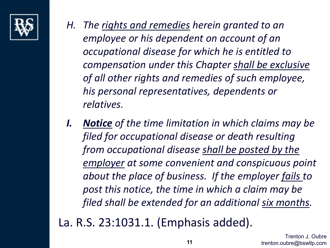

- *H. The rights and remedies herein granted to an employee or his dependent on account of an occupational disease for which he is entitled to compensation under this Chapter shall be exclusive of all other rights and remedies of such employee, his personal representatives, dependents or relatives.*
- *I. Notice of the time limitation in which claims may be filed for occupational disease or death resulting from occupational disease shall be posted by the employer at some convenient and conspicuous point about the place of business. If the employer fails to post this notice, the time in which a claim may be filed shall be extended for an additional six months.*

La. R.S. 23:1031.1. (Emphasis added).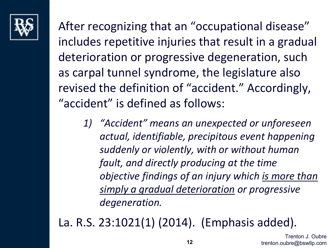

After recognizing that an "occupational disease" includes repetitive injuries that result in a gradual deterioration or progressive degeneration, such as carpal tunnel syndrome, the legislature also revised the definition of "accident." Accordingly, "accident" is defined as follows:

*1) "Accident" means an unexpected or unforeseen actual, identifiable, precipitous event happening suddenly or violently, with or without human fault, and directly producing at the time objective findings of an injury which is more than simply a gradual deterioration or progressive degeneration.*

La. R.S. 23:1021(1) (2014). (Emphasis added).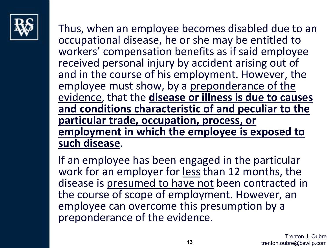

Thus, when an employee becomes disabled due to an occupational disease, he or she may be entitled to workers' compensation benefits as if said employee received personal injury by accident arising out of and in the course of his employment. However, the employee must show, by a preponderance of the evidence, that the **disease or illness is due to causes and conditions characteristic of and peculiar to the particular trade, occupation, process, or employment in which the employee is exposed to such disease**.

If an employee has been engaged in the particular work for an employer for less than 12 months, the disease is presumed to have not been contracted in the course of scope of employment. However, an employee can overcome this presumption by a preponderance of the evidence.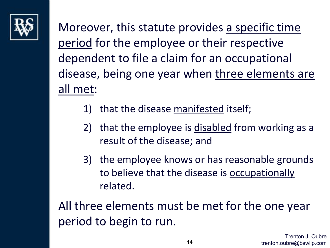

Moreover, this statute provides a specific time period for the employee or their respective dependent to file a claim for an occupational disease, being one year when three elements are all met:

- 1) that the disease manifested itself;
- 2) that the employee is disabled from working as a result of the disease; and
- 3) the employee knows or has reasonable grounds to believe that the disease is occupationally related.

All three elements must be met for the one year period to begin to run.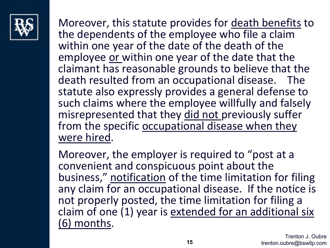

Moreover, this statute provides for death benefits to the dependents of the employee who file a claim within one year of the date of the death of the employee or within one year of the date that the claimant has reasonable grounds to believe that the death resulted from an occupational disease. The statute also expressly provides a general defense to such claims where the employee willfully and falsely misrepresented that they did not previously suffer from the specific occupational disease when they were hired.

Moreover, the employer is required to "post at a convenient and conspicuous point about the business," notification of the time limitation for filing any claim for an occupational disease. If the notice is not properly posted, the time limitation for filing a claim of one (1) year is extended for an additional six (6) months.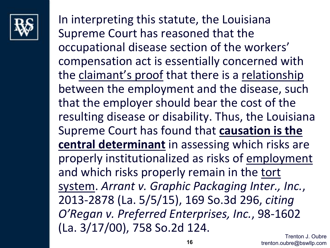

In interpreting this statute, the Louisiana Supreme Court has reasoned that the occupational disease section of the workers' compensation act is essentially concerned with the claimant's proof that there is a relationship between the employment and the disease, such that the employer should bear the cost of the resulting disease or disability. Thus, the Louisiana Supreme Court has found that **causation is the central determinant** in assessing which risks are properly institutionalized as risks of employment and which risks properly remain in the tort system. *Arrant v. Graphic Packaging Inter., Inc.*, 2013-2878 (La. 5/5/15), 169 So.3d 296, *citing O'Regan v. Preferred Enterprises, Inc.*, 98-1602 (La. 3/17/00), 758 So.2d 124.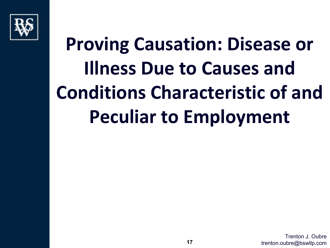

# **Proving Causation: Disease or Illness Due to Causes and Conditions Characteristic of and Peculiar to Employment**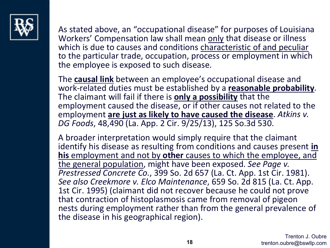

As stated above, an "occupational disease" for purposes of Louisiana Workers' Compensation law shall mean only that disease or illness which is due to causes and conditions characteristic of and peculiar to the particular trade, occupation, process or employment in which the employee is exposed to such disease.

The **causal link** between an employee's occupational disease and work-related duties must be established by a **reasonable probability**. The claimant will fail if there is **only a possibility** that the employment caused the disease, or if other causes not related to the employment **are just as likely to have caused the disease**. *Atkins v. DG Foods*, 48,490 (La. App. 2 Cir. 9/25/13), 125 So.3d 530.

A broader interpretation would simply require that the claimant identify his disease as resulting from conditions and causes present **in his** employment and not by **other** causes to which the employee, and the general population, might have been exposed. *See Page v. Prestressed Concrete Co.*, 399 So. 2d 657 (La. Ct. App. 1st Cir. 1981). *See also Creekmore v. Elco Maintenance*, 659 So. 2d 815 (La. Ct. App. 1st Cir. 1995) (claimant did not recover because he could not prove that contraction of histoplasmosis came from removal of pigeon nests during employment rather than from the general prevalence of the disease in his geographical region).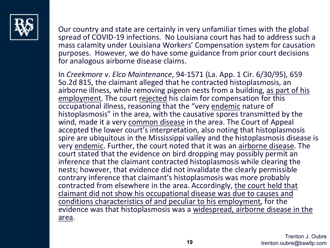

Our country and state are certainly in very unfamiliar times with the global spread of COVID-19 infections. No Louisiana court has had to address such a mass calamity under Louisiana Workers' Compensation system for causation purposes. However, we do have some guidance from prior court decisions for analogous airborne disease claims.

In *Creekmore v. Elco Maintenance*, 94-1571 (La. App. 1 Cir. 6/30/95), 659 So.2d 815, the claimant alleged that he contracted histoplasmosis, an airborne illness, while removing pigeon nests from a building, as part of his employment. The court rejected his claim for compensation for this occupational illness, reasoning that the "very endemic nature of histoplasmosis" in the area, with the causative spores transmitted by the wind, made it a very common disease in the area. The Court of Appeal accepted the lower court's interpretation, also noting that histoplasmosis spire are ubiquitous in the Mississippi valley and the histoplasmosis disease is very endemic. Further, the court noted that it was an airborne disease. The court stated that the evidence on bird dropping may possibly permit an inference that the claimant contracted histoplasmosis while clearing the nests; however, that evidence did not invalidate the clearly permissible contrary inference that claimant's histoplasmosis was more probably contracted from elsewhere in the area. Accordingly, the court held that claimant did not show his occupational disease was due to causes and conditions characteristics of and peculiar to his employment, for the evidence was that histoplasmosis was a widespread, airborne disease in the area.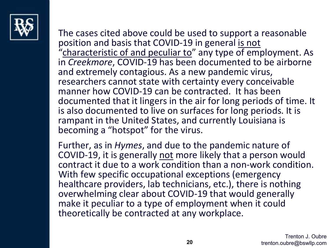

The cases cited above could be used to support a reasonable position and basis that COVID-19 in general is not "characteristic of and peculiar to" any type of employment. As in *Creekmore*, COVID-19 has been documented to be airborne and extremely contagious. As a new pandemic virus, researchers cannot state with certainty every conceivable manner how COVID-19 can be contracted. It has been documented that it lingers in the air for long periods of time. It is also documented to live on surfaces for long periods. It is rampant in the United States, and currently Louisiana is becoming a "hotspot" for the virus.

Further, as in *Hymes*, and due to the pandemic nature of COVID-19, it is generally not more likely that a person would contract it due to a work condition than a non-work condition. With few specific occupational exceptions (emergency healthcare providers, lab technicians, etc.), there is nothing overwhelming clear about COVID-19 that would generally make it peculiar to a type of employment when it could theoretically be contracted at any workplace.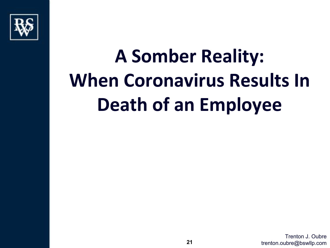

# **A Somber Reality: When Coronavirus Results In Death of an Employee**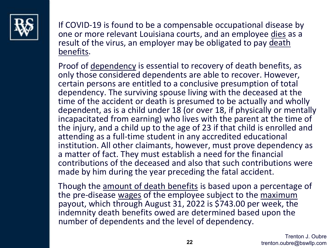

If COVID-19 is found to be a compensable occupational disease by one or more relevant Louisiana courts, and an employee dies as a result of the virus, an employer may be obligated to pay death benefits.

Proof of dependency is essential to recovery of death benefits, as only those considered dependents are able to recover. However, certain persons are entitled to a conclusive presumption of total dependency. The surviving spouse living with the deceased at the time of the accident or death is presumed to be actually and wholly dependent, as is a child under 18 (or over 18, if physically or mentally incapacitated from earning) who lives with the parent at the time of the injury, and a child up to the age of 23 if that child is enrolled and attending as a full-time student in any accredited educational institution. All other claimants, however, must prove dependency as a matter of fact. They must establish a need for the financial contributions of the deceased and also that such contributions were made by him during the year preceding the fatal accident.

Though the amount of death benefits is based upon a percentage of the pre-disease wages of the employee subject to the maximum payout, which through August 31, 2022 is \$743.00 per week, the indemnity death benefits owed are determined based upon the number of dependents and the level of dependency.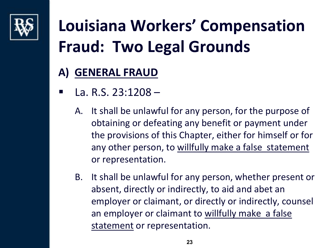

#### **A) GENERAL FRAUD**

- $\blacksquare$  La. R.S. 23:1208
	- A. It shall be unlawful for any person, for the purpose of obtaining or defeating any benefit or payment under the provisions of this Chapter, either for himself or for any other person, to willfully make a false statement or representation.
	- B. It shall be unlawful for any person, whether present or absent, directly or indirectly, to aid and abet an employer or claimant, or directly or indirectly, counsel an employer or claimant to willfully make a false statement or representation.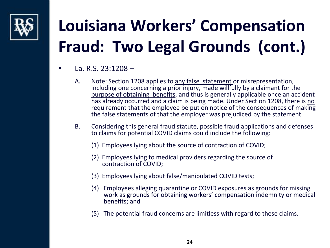

- La. R.S. 23:1208
	- A. Note: Section 1208 applies to any false statement or misrepresentation, including one concerning a prior injury, made willfully by a claimant for the purpose of obtaining benefits, and thus is generally applicable once an accident has already occurred and a claim is being made. Under Section 1208, there is no requirement that the employee be put on notice of the consequences of making the false statements of that the employer was prejudiced by the statement.
	- B. Considering this general fraud statute, possible fraud applications and defenses to claims for potential COVID claims could include the following:
		- (1) Employees lying about the source of contraction of COVID;
		- (2) Employees lying to medical providers regarding the source of contraction of COVID;
		- (3) Employees lying about false/manipulated COVID tests;
		- (4) Employees alleging quarantine or COVID exposures as grounds for missing work as grounds for obtaining workers' compensation indemnity or medical benefits; and
		- (5) The potential fraud concerns are limitless with regard to these claims.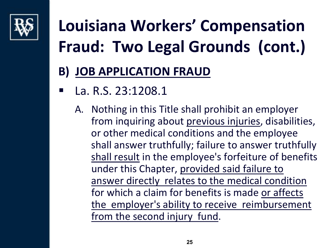

#### **B) JOB APPLICATION FRAUD**

- La. R.S. 23:1208.1
	- A. Nothing in this Title shall prohibit an employer from inquiring about previous injuries, disabilities, or other medical conditions and the employee shall answer truthfully; failure to answer truthfully shall result in the employee's forfeiture of benefits under this Chapter, provided said failure to answer directly relates to the medical condition for which a claim for benefits is made or affects the employer's ability to receive reimbursement from the second injury fund.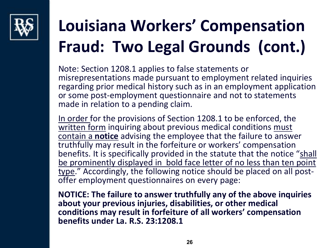

Note: Section 1208.1 applies to false statements or misrepresentations made pursuant to employment related inquiries regarding prior medical history such as in an employment application or some post-employment questionnaire and not to statements made in relation to a pending claim.

In order for the provisions of Section 1208.1 to be enforced, the written form inquiring about previous medical conditions must contain a **notice** advising the employee that the failure to answer truthfully may result in the forfeiture or workers' compensation benefits. It is specifically provided in the statute that the notice "shall be prominently displayed in bold face letter of no less than ten point type." Accordingly, the following notice should be placed on all post-<br>offer employment questionnaires on every page:

**NOTICE: The failure to answer truthfully any of the above inquiries about your previous injuries, disabilities, or other medical conditions may result in forfeiture of all workers' compensation benefits under La. R.S. 23:1208.1**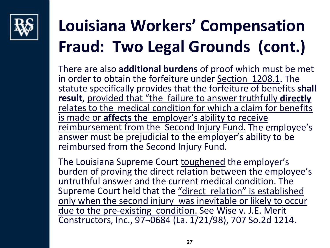

There are also **additional burdens** of proof which must be met in order to obtain the forfeiture under Section 1208.1. The statute specifically provides that the forfeiture of benefits **shall result**, provided that "the failure to answer truthfully **directly** relates to the medical condition for which a claim for benefits is made or **affects** the employer's ability to receive reimbursement from the Second Injury Fund. The employee's answer must be prejudicial to the employer's ability to be reimbursed from the Second Injury Fund.

The Louisiana Supreme Court toughened the employer's burden of proving the direct relation between the employee's untruthful answer and the current medical condition. The Supreme Court held that the "direct relation" is established only when the second injury was inevitable or likely to occur due to the pre-existing condition. See Wise v. J.E. Merit Constructors, Inc., 97¬0684 (La. 1/21/98), 707 So.2d 1214.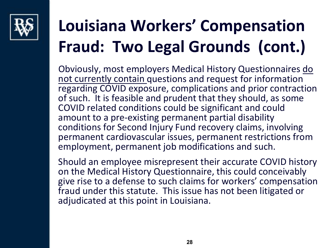

Obviously, most employers Medical History Questionnaires do not currently contain questions and request for information regarding COVID exposure, complications and prior contraction of such. It is feasible and prudent that they should, as some COVID related conditions could be significant and could amount to a pre-existing permanent partial disability conditions for Second Injury Fund recovery claims, involving permanent cardiovascular issues, permanent restrictions from employment, permanent job modifications and such.

Should an employee misrepresent their accurate COVID history on the Medical History Questionnaire, this could conceivably give rise to a defense to such claims for workers' compensation fraud under this statute. This issue has not been litigated or adjudicated at this point in Louisiana.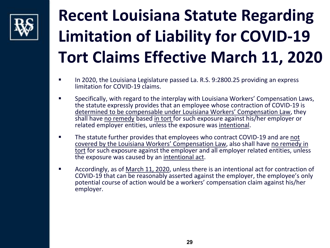

### **Recent Louisiana Statute Regarding Limitation of Liability for COVID-19 Tort Claims Effective March 11, 2020**

- In 2020, the Louisiana Legislature passed La. R.S. 9:2800.25 providing an express limitation for COVID-19 claims.
- Specifically, with regard to the interplay with Louisiana Workers' Compensation Laws, the statute expressly provides that an employee whose contraction of COVID-19 is determined to be compensable under Louisiana Workers' Compensation Law, they shall have no remedy based in tort for such exposure against his/her employer or related employer entities, unless the exposure was intentional.
- The statute further provides that employees who contract COVID-19 and are not covered by the Louisiana Workers' Compensation Law, also shall have no remedy in tort for such exposure against the employer and all employer related entities, unless the exposure was caused by an intentional act.
- **Accordingly, as of March 11, 2020, unless there is an intentional act for contraction of** COVID-19 that can be reasonably asserted against the employer, the employee's only potential course of action would be a workers' compensation claim against his/her employer.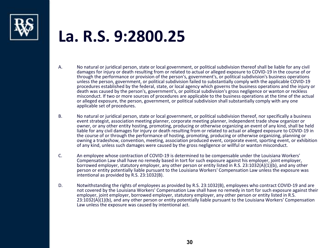

#### **La. R.S. 9:2800.25**

- A. No natural or juridical person, state or local government, or political subdivision thereof shall be liable for any civil damages for injury or death resulting from or related to actual or alleged exposure to COVID-19 in the course of or through the performance or provision of the person's, government's, or political subdivision's business operations unless the person, government, or political subdivision failed to substantially comply with the applicable COVID-19 procedures established by the federal, state, or local agency which governs the business operations and the injury or death was caused by the person's, government's, or political subdivision's gross negligence or wanton or reckless misconduct. If two or more sources of procedures are applicable to the business operations at the time of the actual or alleged exposure, the person, government, or political subdivision shall substantially comply with any one applicable set of procedures.
- B. No natural or juridical person, state or local government, or political subdivision thereof, nor specifically a business event strategist, association meeting planner, corporate meeting planner, independent trade show organizer or owner, or any other entity hosting, promoting, producing or otherwise organizing an event of any kind, shall be held liable for any civil damages for injury or death resulting from or related to actual or alleged exposure to COVID-19 in the course of or through the performance of hosting, promoting, producing or otherwise organizing, planning or owning a tradeshow, convention, meeting, association produced event, corporate event, sporting event, or exhibition of any kind, unless such damages were caused by the gross negligence or willful or wanton misconduct.
- C. An employee whose contraction of COVID-19 is determined to be compensable under the Louisiana Workers' Compensation Law shall have no remedy based in tort for such exposure against his employer, joint employer, borrowed employer, statutory employer, any other person or entity listed in R.S. 23:1032(A)(1)(b), and any other person or entity potentially liable pursuant to the Louisiana Workers' Compensation Law unless the exposure was intentional as provided by R.S. 23:1032(B).
- D. Notwithstanding the rights of employees as provided by R.S. 23:1032(B), employees who contract COVID-19 and are not covered by the Louisiana Workers' Compensation Law shall have no remedy in tort for such exposure against their employer, joint employer, borrowed employer, statutory employer, any other person or entity listed in R.S. 23:1032(A)(1)(b), and any other person or entity potentially liable pursuant to the Louisiana Workers' Compensation Law unless the exposure was caused by intentional act.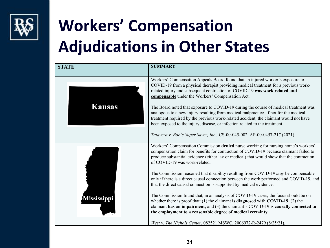

### **Workers' Compensation Adjudications in Other States**

| <b>STATE</b> | <b>SUMMARY</b>                                                                                                                                                                                                                                                                                                                                                                                                                                                                                                                                                                                                                                                  |
|--------------|-----------------------------------------------------------------------------------------------------------------------------------------------------------------------------------------------------------------------------------------------------------------------------------------------------------------------------------------------------------------------------------------------------------------------------------------------------------------------------------------------------------------------------------------------------------------------------------------------------------------------------------------------------------------|
| Kansas       | Workers' Compensation Appeals Board found that an injured worker's exposure to<br>COVID-19 from a physical therapist providing medical treatment for a previous work-<br>related injury and subsequent contraction of COVID-19 was work related and<br>compensable under the Workers' Compensation Act.<br>The Board noted that exposure to COVID-19 during the course of medical treatment was<br>analogous to a new injury resulting from medical malpractice. If not for the medical<br>treatment required by the previous work-related accident, the claimant would not have<br>been exposed to the injury, disease, or infection related to the treatment. |
|              | Talavera v. Bob's Super Saver, Inc., CS-00-045-082, AP-00-0457-217 (2021).                                                                                                                                                                                                                                                                                                                                                                                                                                                                                                                                                                                      |
|              | Workers' Compensation Commission denied nurse working for nursing home's workers'<br>compensation claim for benefits for contraction of COVID-19 because claimant failed to<br>produce substantial evidence (either lay or medical) that would show that the contraction<br>of COVID-19 was work-related.                                                                                                                                                                                                                                                                                                                                                       |
|              | The Commission reasoned that disability resulting from COVID-19 may be compensable<br>only if there is a direct causal connection between the work performed and COVID-19, and<br>that the direct causal connection is supported by medical evidence.                                                                                                                                                                                                                                                                                                                                                                                                           |
| Mississippi  | The Commission found that, in an analysis of COVID-19 cases, the focus should be on<br>whether there is proof that: $(1)$ the claimant is diagnosed with COVID-19; $(2)$ the<br>claimant has an impairment; and (3) the claimant's COVID-19 is causally connected to<br>the employment to a reasonable degree of medical certainty.                                                                                                                                                                                                                                                                                                                             |
|              | West v. The Nichols Center, 082521 MSWC, 2006972-R-2479 (8/25/21).                                                                                                                                                                                                                                                                                                                                                                                                                                                                                                                                                                                              |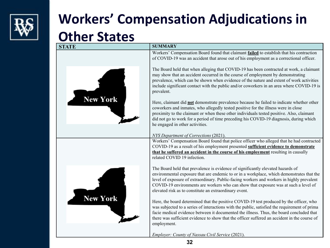

#### **Workers' Compensation Adjudications in**

#### **Other States**

| <b>STATE</b>    | <b>SUMMARY</b>                                                                                                                                                                                                                                                                                                                                                                                                             |
|-----------------|----------------------------------------------------------------------------------------------------------------------------------------------------------------------------------------------------------------------------------------------------------------------------------------------------------------------------------------------------------------------------------------------------------------------------|
|                 | Workers' Compensation Board found that claimant failed to establish that his contraction<br>of COVID-19 was an accident that arose out of his employment as a correctional officer.                                                                                                                                                                                                                                        |
|                 | The Board held that when alleging that COVID-19 has been contracted at work, a claimant<br>may show that an accident occurred in the course of employment by demonstrating<br>prevalence, which can be shown when evidence of the nature and extent of work activities<br>include significant contact with the public and/or coworkers in an area where COVID-19 is<br>prevalent.                                          |
| <b>New York</b> | Here, claimant did <b>not</b> demonstrate prevalence because he failed to indicate whether other<br>coworkers and inmates, who allegedly tested positive for the illness were in close<br>proximity to the claimant or when these other individuals tested positive. Also, claimant<br>did not go to work for a period of time preceding his COVID-19 diagnosis, during which<br>he engaged in other activities.           |
|                 | NYS Department of Corrections (2021).                                                                                                                                                                                                                                                                                                                                                                                      |
|                 | Workers' Compensation Board found that police officer who alleged that he had contracted<br>COVID-19 as a result of his employment presented sufficient evidence to demonstrate<br>that he suffered an accident in the course of his employment resulting in causally<br>related COVID 19 infection.                                                                                                                       |
|                 | The Board held that prevalence is evidence of significantly elevated hazards of<br>environmental exposure that are endemic to or in a workplace, which demonstrates that the<br>level of exposure of extraordinary. Public-facing workers and workers in highly prevalent<br>COVID-19 environments are workers who can show that exposure was at such a level of<br>elevated risk as to constitute an extraordinary event. |
| <b>New York</b> | Here, the board determined that the positive COVID-19 test produced by the officer, who<br>was subjected to a series of interactions with the public, satisfied the requirement of prima<br>facie medical evidence between it documented the illness. Thus, the board concluded that<br>there was sufficient evidence to show that the officer suffered an accident in the course of<br>employment.                        |
|                 | Employer: County of Nassau Civil Service (2021).                                                                                                                                                                                                                                                                                                                                                                           |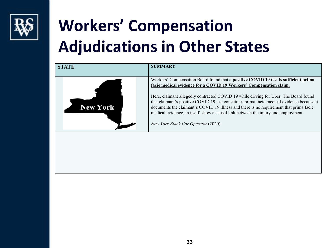

### **Workers' Compensation Adjudications in Other States**

| <b>STATE</b>    | <b>SUMMARY</b>                                                                                                                                                                                                                                                                                                                                                                                                                                                                                                                                                                |
|-----------------|-------------------------------------------------------------------------------------------------------------------------------------------------------------------------------------------------------------------------------------------------------------------------------------------------------------------------------------------------------------------------------------------------------------------------------------------------------------------------------------------------------------------------------------------------------------------------------|
| <b>New York</b> | Workers' Compensation Board found that a <b>positive COVID 19 test is sufficient prima</b><br>facie medical evidence for a COVID 19 Workers' Compensation claim.<br>Here, claimant allegedly contracted COVID 19 while driving for Uber. The Board found<br>that claimant's positive COVID 19 test constitutes prima facie medical evidence because it<br>documents the claimant's COVID 19 illness and there is no requirement that prima facie<br>medical evidence, in itself, show a causal link between the injury and employment.<br>New York Black Car Operator (2020). |
|                 |                                                                                                                                                                                                                                                                                                                                                                                                                                                                                                                                                                               |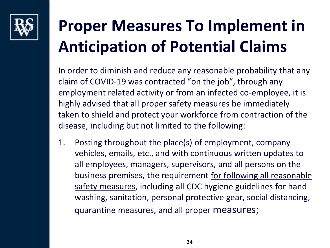

### **Proper Measures To Implement in Anticipation of Potential Claims**

In order to diminish and reduce any reasonable probability that any claim of COVID-19 was contracted "on the job", through any employment related activity or from an infected co-employee, it is highly advised that all proper safety measures be immediately taken to shield and protect your workforce from contraction of the disease, including but not limited to the following:

1. Posting throughout the place(s) of employment, company vehicles, emails, etc., and with continuous written updates to all employees, managers, supervisors, and all persons on the business premises, the requirement for following all reasonable safety measures, including all CDC hygiene guidelines for hand washing, sanitation, personal protective gear, social distancing, quarantine measures, and all proper measures;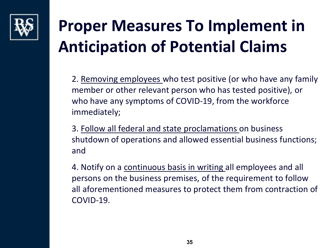

### **Proper Measures To Implement in Anticipation of Potential Claims**

2. Removing employees who test positive (or who have any family member or other relevant person who has tested positive), or who have any symptoms of COVID-19, from the workforce immediately;

3. Follow all federal and state proclamations on business shutdown of operations and allowed essential business functions; and

4. Notify on a continuous basis in writing all employees and all persons on the business premises, of the requirement to follow all aforementioned measures to protect them from contraction of COVID-19.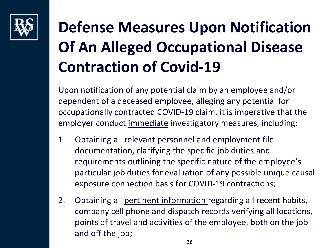

### **Defense Measures Upon Notification Of An Alleged Occupational Disease Contraction of Covid-19**

Upon notification of any potential claim by an employee and/or dependent of a deceased employee, alleging any potential for occupationally contracted COVID-19 claim, it is imperative that the employer conduct immediate investigatory measures, including:

- 1. Obtaining all relevant personnel and employment file documentation, clarifying the specific job duties and requirements outlining the specific nature of the employee's particular job duties for evaluation of any possible unique causal exposure connection basis for COVID-19 contractions;
- 2. Obtaining all pertinent information regarding all recent habits, company cell phone and dispatch records verifying all locations, points of travel and activities of the employee, both on the job and off the job;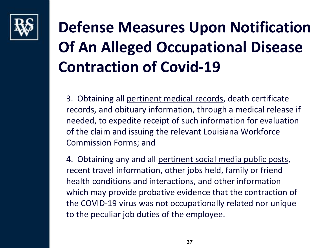

### **Defense Measures Upon Notification Of An Alleged Occupational Disease Contraction of Covid-19**

3. Obtaining all pertinent medical records, death certificate records, and obituary information, through a medical release if needed, to expedite receipt of such information for evaluation of the claim and issuing the relevant Louisiana Workforce Commission Forms; and

4. Obtaining any and all pertinent social media public posts, recent travel information, other jobs held, family or friend health conditions and interactions, and other information which may provide probative evidence that the contraction of the COVID-19 virus was not occupationally related nor unique to the peculiar job duties of the employee.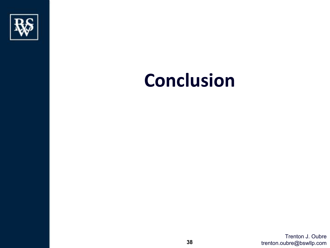

## **Conclusion**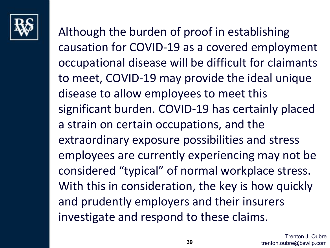

Although the burden of proof in establishing causation for COVID-19 as a covered employment occupational disease will be difficult for claimants to meet, COVID-19 may provide the ideal unique disease to allow employees to meet this significant burden. COVID-19 has certainly placed a strain on certain occupations, and the extraordinary exposure possibilities and stress employees are currently experiencing may not be considered "typical" of normal workplace stress. With this in consideration, the key is how quickly and prudently employers and their insurers investigate and respond to these claims.